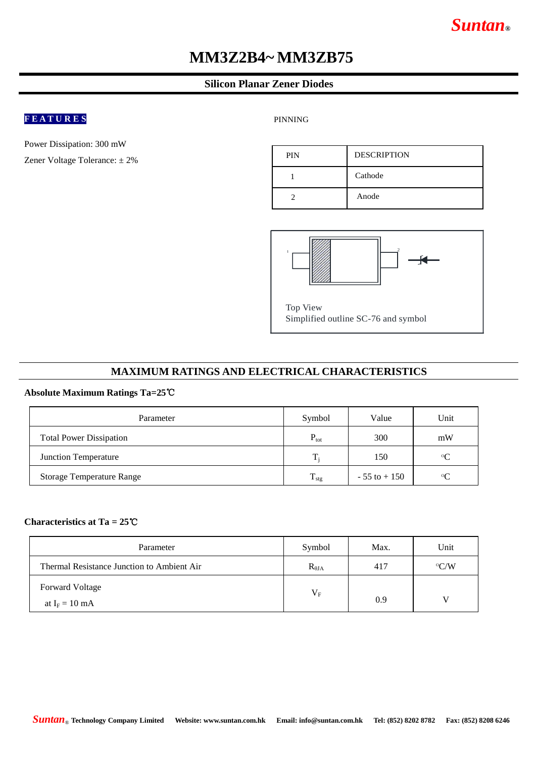# *Suntan***®**

# **MM3Z2B4~ MM3ZB75**

### **Silicon Planar Zener Diodes**

## **F E A T U R E S**

Power Dissipation: 300 mW

Zener Voltage Tolerance: ± 2%

PINNING





#### **MAXIMUM RATINGS AND ELECTRICAL CHARACTERISTICS**

#### **Absolute Maximum Ratings Ta=25**℃

| Parameter                        | Symbol           | Value           | Unit        |
|----------------------------------|------------------|-----------------|-------------|
| <b>Total Power Dissipation</b>   | $P_{\text{tot}}$ | 300             | mW          |
| <b>Junction Temperature</b>      | $T_i$            | 150             | $\rm ^{o}C$ |
| <b>Storage Temperature Range</b> | $T_{\rm stg}$    | $-55$ to $+150$ | $\circ$ C   |

#### **Characteristics at Ta = 25**℃

| Parameter                                  | Symbol          | Max. | Unit          |
|--------------------------------------------|-----------------|------|---------------|
| Thermal Resistance Junction to Ambient Air | $R_{\theta JA}$ | 417  | $\rm ^{o}C/W$ |
| <b>Forward Voltage</b>                     | $V_{\rm F}$     |      |               |
| at $I_F = 10$ mA                           |                 | 0.9  | V             |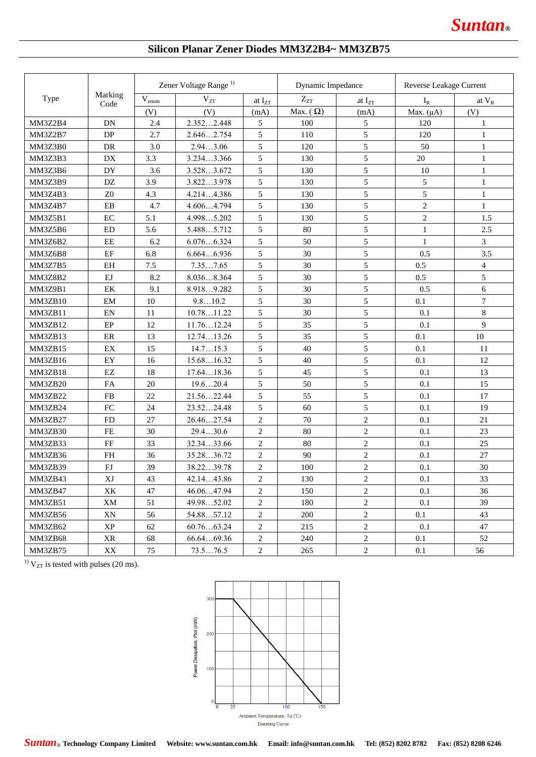# **Silicon Planar Zener Diodes MM3Z2B4~ MM3ZB75**

| Marking<br>Type<br>Code |                                   | Zener Voltage Range <sup>1)</sup> |            |                             | Dynamic Impedance |                | Reverse Leakage Current |                |
|-------------------------|-----------------------------------|-----------------------------------|------------|-----------------------------|-------------------|----------------|-------------------------|----------------|
|                         |                                   | $\mathbf{\bar{V}}_{\text{znom}}$  | $V_{ZT}$   | at $\mathbf{I}_{\text{ZT}}$ | $Z_{ZT}$          | at $I_{ZT}$    | $I_R$                   | at $V_R$       |
|                         |                                   | (V)                               | (V)        | (mA)                        | Max. $(\Omega)$   | (mA)           | Max. $(\mu A)$          | (V)            |
| MM3Z2B4                 | DN                                | 2.4                               | 2.3522.448 | 5                           | 100               | 5              | 120                     | 1              |
| <b>MM3Z2B7</b>          | DP                                | 2.7                               | 2.6462.754 | 5                           | 110               | 5              | 120                     | 1              |
| MM3Z3B0                 | DR                                | 3.0                               | 2.943.06   | 5                           | 120               | 5              | 50                      | $\mathbf{1}$   |
| MM3Z3B3                 | DX                                | 3.3                               | 3.2343.366 | 5                           | 130               | 5              | 20                      | $\mathbf{1}$   |
| MM3Z3B6                 | DY                                | 3.6                               | 3.5283.672 | 5                           | 130               | 5              | 10                      | $\mathbf{1}$   |
| MM3Z3B9                 | DZ                                | 3.9                               | 3.8223.978 | 5                           | 130               | 5              | 5                       | $\mathbf{1}$   |
| <b>MM3Z4B3</b>          | Z <sub>0</sub>                    | 4.3                               | 4.2144.386 | 5                           | 130               | 5              | 5                       | $\mathbf{1}$   |
| MM3Z4B7                 | EB                                | 4.7                               | 4.6064.794 | 5                           | 130               | 5              | $\overline{c}$          | $\mathbf{1}$   |
| <b>MM3Z5B1</b>          | EC                                | 5.1                               | 4.9985.202 | 5                           | 130               | 5              | $\mathbf{2}$            | 1.5            |
| MM3Z5B6                 | ED                                | 5.6                               | 5.4885.712 | 5                           | 80                | 5              | $\mathbf{1}$            | 2.5            |
| MM3Z6B2                 | EE                                | 6.2                               | 6.0766.324 | 5                           | 50                | 5              | 1                       | 3              |
| MM3Z6B8                 | EF                                | 6.8                               | 6.6646.936 | 5                           | 30                | 5              | 0.5                     | 3.5            |
| MM3Z7B5                 | EH                                | 7.5                               | 7.357.65   | 5                           | 30                | 5              | 0.5                     | $\overline{4}$ |
| <b>MM3Z8B2</b>          | EJ                                | 8.2                               | 8.0368.364 | 5                           | 30                | 5              | 0.5                     | $\mathfrak s$  |
| MM3Z9B1                 | EK                                | 9.1                               | 8.9189.282 | 5                           | 30                | 5              | 0.5                     | 6              |
| MM3ZB10                 | EM                                | 10                                | 9.810.2    | 5                           | 30                | 5              | 0.1                     | $\tau$         |
| MM3ZB11                 | EN                                | 11                                | 10.7811.22 | 5                           | 30                | 5              | 0.1                     | $\,8\,$        |
| MM3ZB12                 | EP                                | 12                                | 11.7612.24 | 5                           | 35                | 5              | 0.1                     | 9              |
| MM3ZB13                 | ER                                | 13                                | 12.7413.26 | 5                           | 35                | 5              | 0.1                     | 10             |
| MM3ZB15                 | EX                                | 15                                | 14.715.3   | 5                           | 40                | 5              | 0.1                     | 11             |
| MM3ZB16                 | EY                                | 16                                | 15.6816.32 | 5                           | 40                | 5              | 0.1                     | 12             |
| MM3ZB18                 | EZ                                | 18                                | 17.6418.36 | 5                           | 45                | 5              | 0.1                     | 13             |
| MM3ZB20                 | FA                                | 20                                | 19.620.4   | 5                           | 50                | 5              | 0.1                     | 15             |
| MM3ZB22                 | FB                                | 22                                | 21.5622.44 | 5                           | 55                | 5              | 0.1                     | 17             |
| MM3ZB24                 | FC                                | 24                                | 23.5224.48 | 5                           | 60                | 5              | 0.1                     | 19             |
| MM3ZB27                 | <b>FD</b>                         | 27                                | 26.4627.54 | $\sqrt{2}$                  | 70                | $\sqrt{2}$     | 0.1                     | 21             |
| MM3ZB30                 | <b>FE</b>                         | 30                                | 29.430.6   | $\overline{c}$              | 80                | $\overline{c}$ | 0.1                     | 23             |
| MM3ZB33                 | FF                                | 33                                | 32.3433.66 | $\sqrt{2}$                  | 80                | $\overline{2}$ | 0.1                     | 25             |
| MM3ZB36                 | <b>FH</b>                         | 36                                | 35.2836.72 | $\overline{c}$              | 90                | $\sqrt{2}$     | 0.1                     | 27             |
| MM3ZB39                 | FJ                                | 39                                | 38.2239.78 | $\overline{c}$              | 100               | $\overline{c}$ | 0.1                     | 30             |
| MM3ZB43                 | XJ                                | 43                                | 42.1443.86 | $\sqrt{2}$                  | 130               | $\overline{2}$ | 0.1                     | 33             |
| MM3ZB47                 | XK                                | 47                                | 46.0647.94 | $\overline{2}$              | 150               | $\overline{c}$ | 0.1                     | 36             |
| MM3ZB51                 | XM                                | 51                                | 49.9852.02 | $\sqrt{2}$                  | 180               | $\overline{c}$ | 0.1                     | 39             |
| MM3ZB56                 | XN                                | 56                                | 54.8857.12 | $\sqrt{2}$                  | 200               | $\sqrt{2}$     | 0.1                     | 43             |
| MM3ZB62                 | $\ensuremath{\mathbf{XP}}\xspace$ | 62                                | 60.7663.24 | $\boldsymbol{2}$            | 215               | $\overline{c}$ | 0.1                     | 47             |
| MM3ZB68                 | XR                                | 68                                | 66.6469.36 | $\overline{c}$              | 240               | $\sqrt{2}$     | 0.1                     | 52             |
| MM3ZB75                 | XX                                | 75                                | 73.576.5   | $\overline{c}$              | 265               | $\overline{c}$ | 0.1                     | 56             |

 $1)$  V<sub>ZT</sub> is tested with pulses (20 ms).